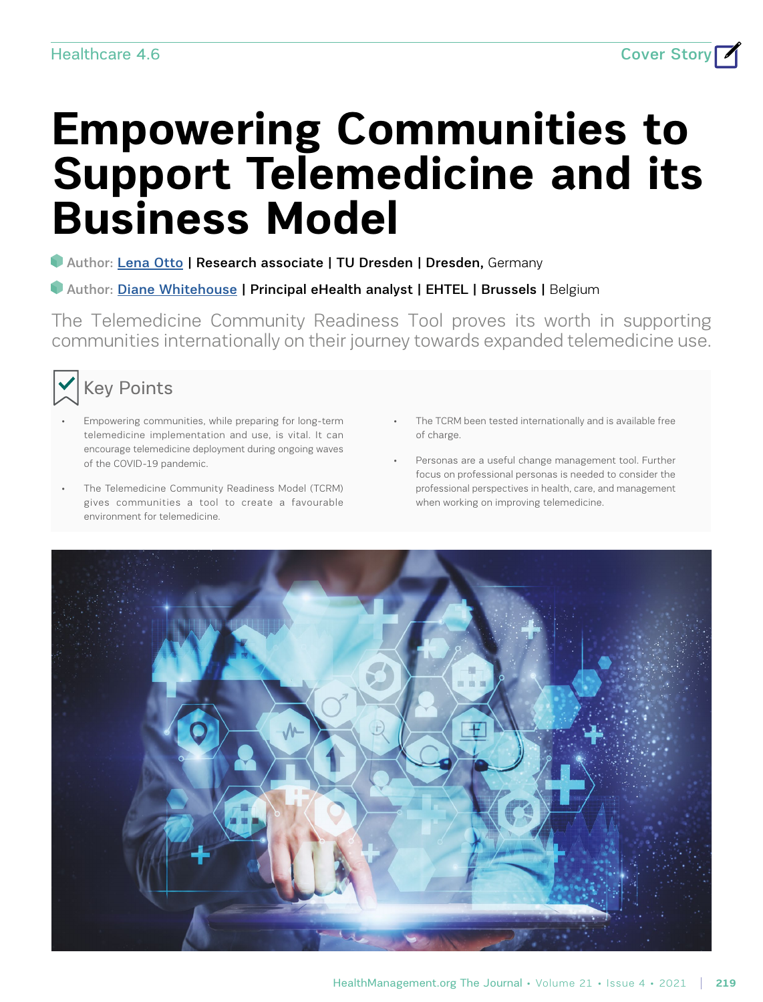# **Empowering Communities to Support Telemedicine and its Business Model**

### **Author: [Lena Otto](https://healthmanagement.org/viewProfile/124170/Lena_Otto) | Research associate | TU Dresden | Dresden, Germany**

#### Author: [Diane Whitehouse](https://healthmanagement.org/viewProfile/40362/Diane_Whitehouse) | Principal eHealth analyst | EHTEL | Brussels | Belgium

The Telemedicine Community Readiness Tool proves its worth in supporting communities internationally on their journey towards expanded telemedicine use.



- Empowering communities, while preparing for long-term telemedicine implementation and use, is vital. It can encourage telemedicine deployment during ongoing waves of the COVID-19 pandemic.
- The Telemedicine Community Readiness Model (TCRM) gives communities a tool to create a favourable environment for telemedicine.
- The TCRM been tested internationally and is available free of charge.
- Personas are a useful change management tool. Further focus on professional personas is needed to consider the professional perspectives in health, care, and management when working on improving telemedicine.

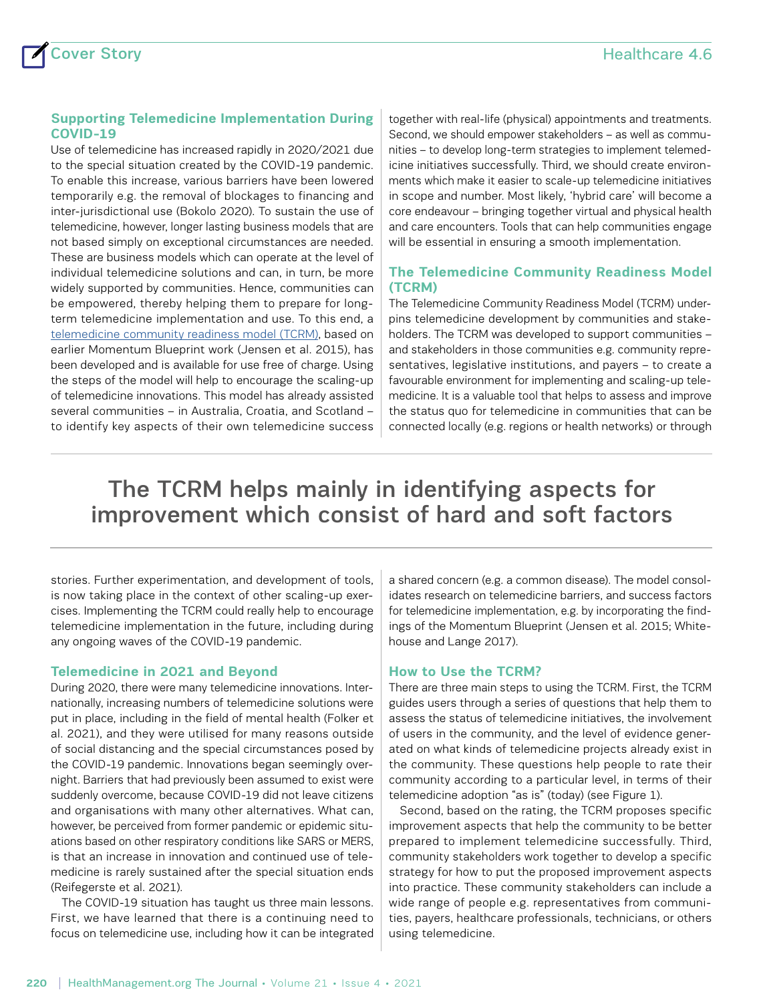#### **Supporting Telemedicine Implementation During COVID-19**

Use of telemedicine has increased rapidly in 2020/2021 due to the special situation created by the COVID-19 pandemic. To enable this increase, various barriers have been lowered temporarily e.g. the removal of blockages to financing and inter-jurisdictional use (Bokolo 2020). To sustain the use of telemedicine, however, longer lasting business models that are not based simply on exceptional circumstances are needed. These are business models which can operate at the level of individual telemedicine solutions and can, in turn, be more widely supported by communities. Hence, communities can be empowered, thereby helping them to prepare for longterm telemedicine implementation and use. To this end, a [telemedicine community readiness model \(TCRM\)](http://care4saxony.de/?page_id=3837), based on earlier Momentum Blueprint work (Jensen et al. 2015), has been developed and is available for use free of charge. Using the steps of the model will help to encourage the scaling-up of telemedicine innovations. This model has already assisted several communities – in Australia, Croatia, and Scotland – to identify key aspects of their own telemedicine success together with real-life (physical) appointments and treatments. Second, we should empower stakeholders – as well as communities – to develop long-term strategies to implement telemedicine initiatives successfully. Third, we should create environments which make it easier to scale-up telemedicine initiatives in scope and number. Most likely, 'hybrid care' will become a core endeavour – bringing together virtual and physical health and care encounters. Tools that can help communities engage will be essential in ensuring a smooth implementation.

#### **The Telemedicine Community Readiness Model (TCRM)**

The Telemedicine Community Readiness Model (TCRM) underpins telemedicine development by communities and stakeholders. The TCRM was developed to support communities – and stakeholders in those communities e.g. community representatives, legislative institutions, and payers – to create a favourable environment for implementing and scaling-up telemedicine. It is a valuable tool that helps to assess and improve the status quo for telemedicine in communities that can be connected locally (e.g. regions or health networks) or through

# The TCRM helps mainly in identifying aspects for improvement which consist of hard and soft factors

stories. Further experimentation, and development of tools, is now taking place in the context of other scaling-up exercises. Implementing the TCRM could really help to encourage telemedicine implementation in the future, including during any ongoing waves of the COVID-19 pandemic.

#### **Telemedicine in 2021 and Beyond**

During 2020, there were many telemedicine innovations. Internationally, increasing numbers of telemedicine solutions were put in place, including in the field of mental health (Folker et al. 2021), and they were utilised for many reasons outside of social distancing and the special circumstances posed by the COVID-19 pandemic. Innovations began seemingly overnight. Barriers that had previously been assumed to exist were suddenly overcome, because COVID-19 did not leave citizens and organisations with many other alternatives. What can, however, be perceived from former pandemic or epidemic situations based on other respiratory conditions like SARS or MERS, is that an increase in innovation and continued use of telemedicine is rarely sustained after the special situation ends (Reifegerste et al. 2021).

The COVID-19 situation has taught us three main lessons. First, we have learned that there is a continuing need to focus on telemedicine use, including how it can be integrated a shared concern (e.g. a common disease). The model consolidates research on telemedicine barriers, and success factors for telemedicine implementation, e.g. by incorporating the findings of the Momentum Blueprint (Jensen et al. 2015; Whitehouse and Lange 2017).

#### **How to Use the TCRM?**

There are three main steps to using the TCRM. First, the TCRM guides users through a series of questions that help them to assess the status of telemedicine initiatives, the involvement of users in the community, and the level of evidence generated on what kinds of telemedicine projects already exist in the community. These questions help people to rate their community according to a particular level, in terms of their telemedicine adoption "as is" (today) (see Figure 1).

Second, based on the rating, the TCRM proposes specific improvement aspects that help the community to be better prepared to implement telemedicine successfully. Third, community stakeholders work together to develop a specific strategy for how to put the proposed improvement aspects into practice. These community stakeholders can include a wide range of people e.g. representatives from communities, payers, healthcare professionals, technicians, or others using telemedicine.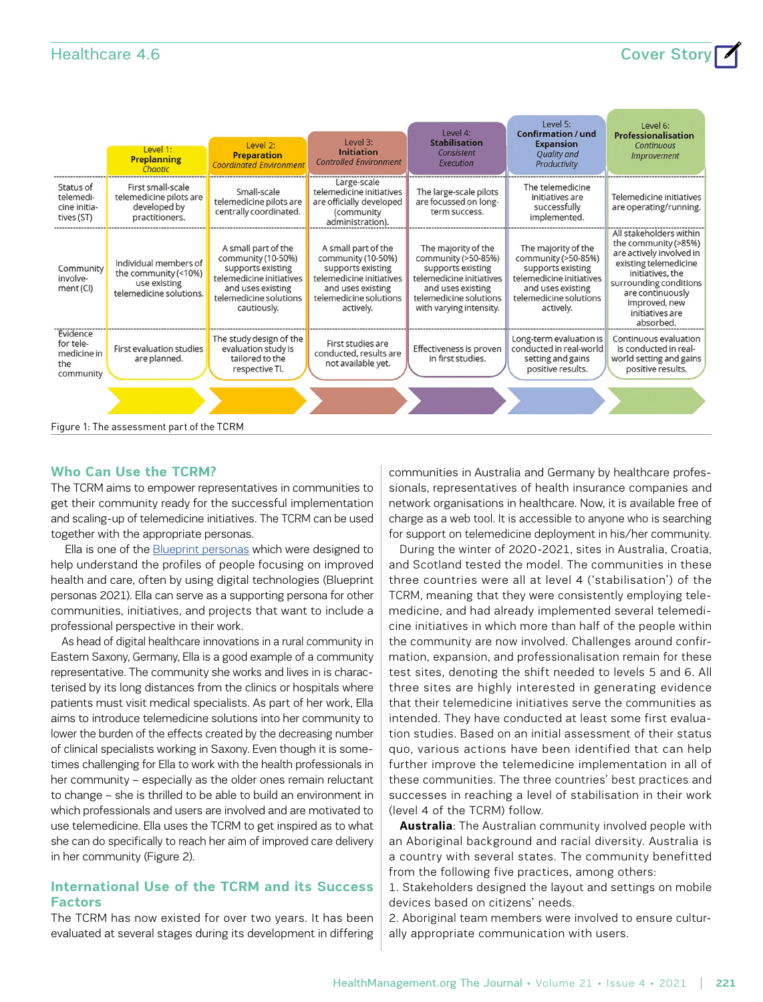## $H$ ealthcare 4.6

|  | <b>Cover Stor</b> |  |
|--|-------------------|--|
|  |                   |  |

|                                                          | Level 1:<br><b>Preplanning</b><br>Chaotic                                                | Level 2:<br><b>Preparation</b><br><b>Coordinated Environmen</b>                                                                                          | Level 3:<br><b>Initiation</b><br><b>Controlled Environment</b>                                                                                         | Level 4:<br><b>Stabilisation</b><br>Consistent<br>Execution                                                                                                           | Level 5:<br><b>Confirmation / und</b><br><b>Expansion</b><br><b>Quality and</b><br>Productivity                                                         | Level 6:<br>Professionalisation<br>Continuous<br><i><b>Improvement</b></i>                                                                                                                                              |
|----------------------------------------------------------|------------------------------------------------------------------------------------------|----------------------------------------------------------------------------------------------------------------------------------------------------------|--------------------------------------------------------------------------------------------------------------------------------------------------------|-----------------------------------------------------------------------------------------------------------------------------------------------------------------------|---------------------------------------------------------------------------------------------------------------------------------------------------------|-------------------------------------------------------------------------------------------------------------------------------------------------------------------------------------------------------------------------|
| Status of<br>telemedi-<br>cine initia-<br>tives (ST)     | First small-scale<br>telemedicine pilots are<br>developed by<br>practitioners.           | Small-scale<br>telemedicine pilots are<br>centrally coordinated.                                                                                         | Large-scale<br>telemedicine initiatives<br>are officially developed<br>(community<br>administration).                                                  | The large-scale pilots<br>are focussed on long-<br>term success.                                                                                                      | The telemedicine<br>initiatives are<br>successfully<br>implemented.                                                                                     | Telemedicine initiatives<br>are operating/running.                                                                                                                                                                      |
| Community<br>involve-<br>ment (CI)                       | Individual members of<br>the community (<10%)<br>use existing<br>telemedicine solutions. | A small part of the<br>community (10-50%)<br>supports existing<br>telemedicine initiatives<br>and uses existing<br>telemedicine solutions<br>cautiously. | A small part of the<br>community (10-50%)<br>supports existing<br>telemedicine initiatives<br>and uses existing<br>telemedicine solutions<br>actively. | The majority of the<br>community (>50-85%)<br>supports existing<br>telemedicine initiatives<br>and uses existing<br>telemedicine solutions<br>with varying intensity. | The majority of the<br>community (>50-85%)<br>supports existing<br>telemedicine initiatives<br>and uses existing<br>telemedicine solutions<br>actively. | All stakeholders within<br>the community (>85%)<br>are actively involved in<br>existing telemedicine<br>initiatives, the<br>surrounding conditions<br>are continuously<br>improved, new<br>initiatives are<br>absorbed. |
| Evidence<br>for tele-<br>medicine in<br>the<br>community | First evaluation studies<br>are planned.                                                 | The study design of the<br>evaluation study is<br>tailored to the<br>respective Tl.                                                                      | First studies are<br>conducted, results are<br>not available yet.                                                                                      | Effectiveness is proven<br>in first studies.                                                                                                                          | Long-term evaluation is<br>conducted in real-world<br>setting and gains<br>positive results.                                                            | Continuous evaluation<br>is conducted in real-<br>world setting and gains<br>positive results.                                                                                                                          |
|                                                          |                                                                                          |                                                                                                                                                          |                                                                                                                                                        |                                                                                                                                                                       |                                                                                                                                                         |                                                                                                                                                                                                                         |
|                                                          | Figure 1: The assessment part of the TCRM                                                |                                                                                                                                                          |                                                                                                                                                        |                                                                                                                                                                       |                                                                                                                                                         |                                                                                                                                                                                                                         |

#### **Who Can Use the TCRM?**

The TCRM aims to empower representatives in communities to get their community ready for the successful implementation and scaling-up of telemedicine initiatives. The TCRM can be used together with the appropriate personas.

 Ella is one of the [Blueprint personas](https://blueprint-personas.eu/spin-off-personas/) which were designed to help understand the profiles of people focusing on improved health and care, often by using digital technologies (Blueprint personas 2021). Ella can serve as a supporting persona for other communities, initiatives, and projects that want to include a professional perspective in their work.

As head of digital healthcare innovations in a rural community in Eastern Saxony, Germany, Ella is a good example of a community representative. The community she works and lives in is characterised by its long distances from the clinics or hospitals where patients must visit medical specialists. As part of her work, Ella aims to introduce telemedicine solutions into her community to lower the burden of the effects created by the decreasing number of clinical specialists working in Saxony. Even though it is sometimes challenging for Ella to work with the health professionals in her community – especially as the older ones remain reluctant to change – she is thrilled to be able to build an environment in which professionals and users are involved and are motivated to use telemedicine. Ella uses the TCRM to get inspired as to what she can do specifically to reach her aim of improved care delivery in her community (Figure 2).

#### **International Use of the TCRM and its Success Factors**

The TCRM has now existed for over two years. It has been evaluated at several stages during its development in differing communities in Australia and Germany by healthcare professionals, representatives of health insurance companies and network organisations in healthcare. Now, it is available free of charge as a web tool. It is accessible to anyone who is searching for support on telemedicine deployment in his/her community.

During the winter of 2020-2021, sites in Australia, Croatia, and Scotland tested the model. The communities in these three countries were all at level 4 ('stabilisation') of the TCRM, meaning that they were consistently employing telemedicine, and had already implemented several telemedicine initiatives in which more than half of the people within the community are now involved. Challenges around confirmation, expansion, and professionalisation remain for these test sites, denoting the shift needed to levels 5 and 6. All three sites are highly interested in generating evidence that their telemedicine initiatives serve the communities as intended. They have conducted at least some first evaluation studies. Based on an initial assessment of their status quo, various actions have been identified that can help further improve the telemedicine implementation in all of these communities. The three countries' best practices and successes in reaching a level of stabilisation in their work (level 4 of the TCRM) follow.

**Australia**: The Australian community involved people with an Aboriginal background and racial diversity. Australia is a country with several states. The community benefitted from the following five practices, among others:

1. Stakeholders designed the layout and settings on mobile devices based on citizens' needs.

2. Aboriginal team members were involved to ensure culturally appropriate communication with users.